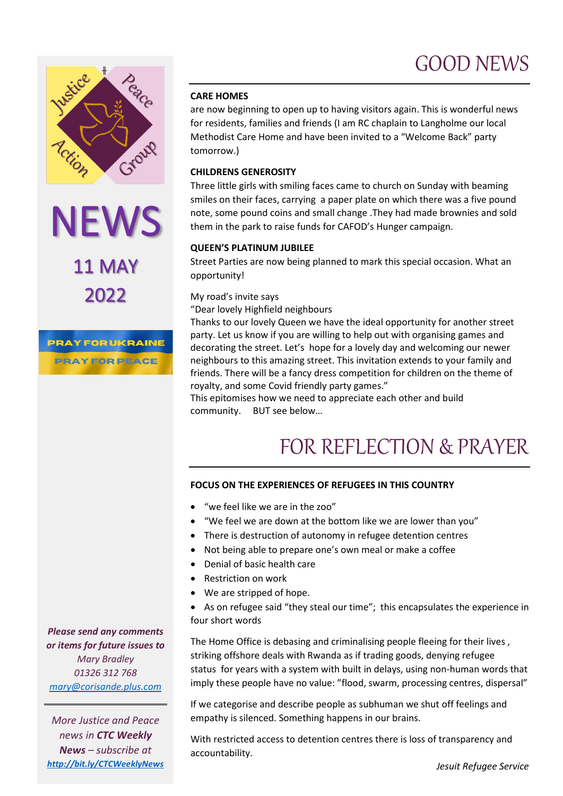### GOOD NEWS



NEWS 2022

**PRAY FOR UKRAINE PRAY FOR PEACE** 

#### **CARE HOMES**

are now beginning to open up to having visitors again. This is wonderful news for residents, families and friends (I am RC chaplain to Langholme our local Methodist Care Home and have been invited to a "Welcome Back" party tomorrow.)

### **CHILDRENS GENEROSITY**

Three little girls with smiling faces came to church on Sunday with beaming smiles on their faces, carrying a paper plate on which there was a five pound note, some pound coins and small change .They had made brownies and sold them in the park to raise funds for CAFOD's Hunger campaign.

### **QUEEN'S PLATINUM JUBILEE**

Street Parties are now being planned to mark this special occasion. What an opportunity!

### My road's invite says

"Dear lovely Highfield neighbours

Thanks to our lovely Queen we have the ideal opportunity for another street party. Let us know if you are willing to help out with organising games and decorating the street. Let's hope for a lovely day and welcoming our newer neighbours to this amazing street. This invitation extends to your family and friends. There will be a fancy dress competition for children on the theme of royalty, and some Covid friendly party games."

This epitomises how we need to appreciate each other and build community. BUT see below…

## FOR REFLECTION & PRAYER

### **FOCUS ON THE EXPERIENCES OF REFUGEES IN THIS COUNTRY**

- "we feel like we are in the zoo"
- "We feel we are down at the bottom like we are lower than you"
- There is destruction of autonomy in refugee detention centres
- Not being able to prepare one's own meal or make a coffee
- Denial of basic health care
- Restriction on work
- We are stripped of hope.
- As on refugee said "they steal our time"; this encapsulates the experience in four short words

The Home Office is debasing and criminalising people fleeing for their lives , striking offshore deals with Rwanda as if trading goods, denying refugee status for years with a system with built in delays, using non-human words that imply these people have no value: "flood, swarm, processing centres, dispersal"

If we categorise and describe people as subhuman we shut off feelings and empathy is silenced. Something happens in our brains.

With restricted access to detention centres there is loss of transparency and accountability.

*Please send any comments or items for future issues to Mary Bradley 01326 312 768 [mary@corisande.plus.com](mailto:mary@corisande.plus.com)*

*More Justice and Peace news in CTC Weekly News – subscribe at <http://bit.ly/CTCWeeklyNews>*